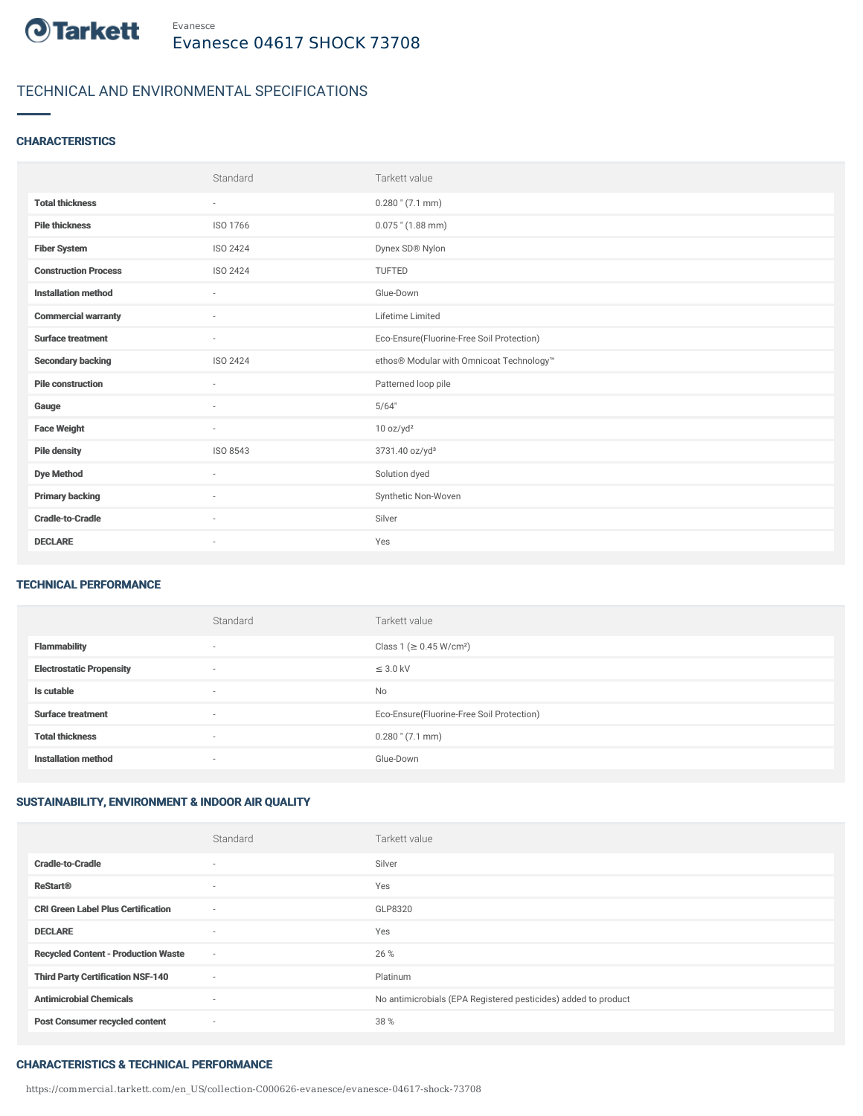

# TECHNICAL AND ENVIRONMENTAL SPECIFICATIONS

### **CHARACTERISTICS**

|                             | Standard                 | Tarkett value                             |
|-----------------------------|--------------------------|-------------------------------------------|
| <b>Total thickness</b>      | $\sim$                   | $0.280$ " $(7.1$ mm)                      |
| <b>Pile thickness</b>       | ISO 1766                 | $0.075$ " (1.88 mm)                       |
| <b>Fiber System</b>         | ISO 2424                 | Dynex SD® Nylon                           |
| <b>Construction Process</b> | ISO 2424                 | TUFTED                                    |
| <b>Installation method</b>  | $\sim$                   | Glue-Down                                 |
| <b>Commercial warranty</b>  | ٠                        | Lifetime Limited                          |
| <b>Surface treatment</b>    | $\sim$                   | Eco-Ensure(Fluorine-Free Soil Protection) |
| <b>Secondary backing</b>    | ISO 2424                 | ethos® Modular with Omnicoat Technology™  |
| <b>Pile construction</b>    | $\sim$                   | Patterned loop pile                       |
| Gauge                       | ٠                        | 5/64"                                     |
| <b>Face Weight</b>          | $\sim$                   | 10 oz/yd <sup>2</sup>                     |
| <b>Pile density</b>         | ISO 8543                 | 3731.40 oz/yd <sup>3</sup>                |
| <b>Dye Method</b>           | ٠                        | Solution dyed                             |
| <b>Primary backing</b>      | ٠                        | Synthetic Non-Woven                       |
| <b>Cradle-to-Cradle</b>     | $\overline{\phantom{a}}$ | Silver                                    |
| <b>DECLARE</b>              | $\overline{\phantom{a}}$ | Yes                                       |

### TECHNICAL PERFORMANCE

|                                 | Standard                 | Tarkett value                             |
|---------------------------------|--------------------------|-------------------------------------------|
| <b>Flammability</b>             | $\overline{\phantom{a}}$ | Class 1 (≥ 0.45 W/cm <sup>2</sup> )       |
| <b>Electrostatic Propensity</b> | $\overline{\phantom{a}}$ | $\leq$ 3.0 kV                             |
| Is cutable                      | $\overline{\phantom{a}}$ | <b>No</b>                                 |
| <b>Surface treatment</b>        | $\overline{\phantom{a}}$ | Eco-Ensure(Fluorine-Free Soil Protection) |
| <b>Total thickness</b>          | $\overline{\phantom{a}}$ | $0.280$ " $(7.1$ mm)                      |
| <b>Installation method</b>      | $\overline{\phantom{a}}$ | Glue-Down                                 |

# SUSTAINABILITY, ENVIRONMENT & INDOOR AIR QUALITY

|                                            | Standard                 | Tarkett value                                                  |
|--------------------------------------------|--------------------------|----------------------------------------------------------------|
| <b>Cradle-to-Cradle</b>                    | $\sim$                   | Silver                                                         |
| <b>ReStart®</b>                            | $\sim$                   | Yes                                                            |
| <b>CRI Green Label Plus Certification</b>  | $\sim$                   | GLP8320                                                        |
| <b>DECLARE</b>                             | $\sim$                   | Yes                                                            |
| <b>Recycled Content - Production Waste</b> | $\sim$                   | 26 %                                                           |
| <b>Third Party Certification NSF-140</b>   | $\sim$                   | Platinum                                                       |
| <b>Antimicrobial Chemicals</b>             | $\overline{\phantom{a}}$ | No antimicrobials (EPA Registered pesticides) added to product |
| <b>Post Consumer recycled content</b>      | $\overline{\phantom{a}}$ | 38 %                                                           |

## CHARACTERISTICS & TECHNICAL PERFORMANCE